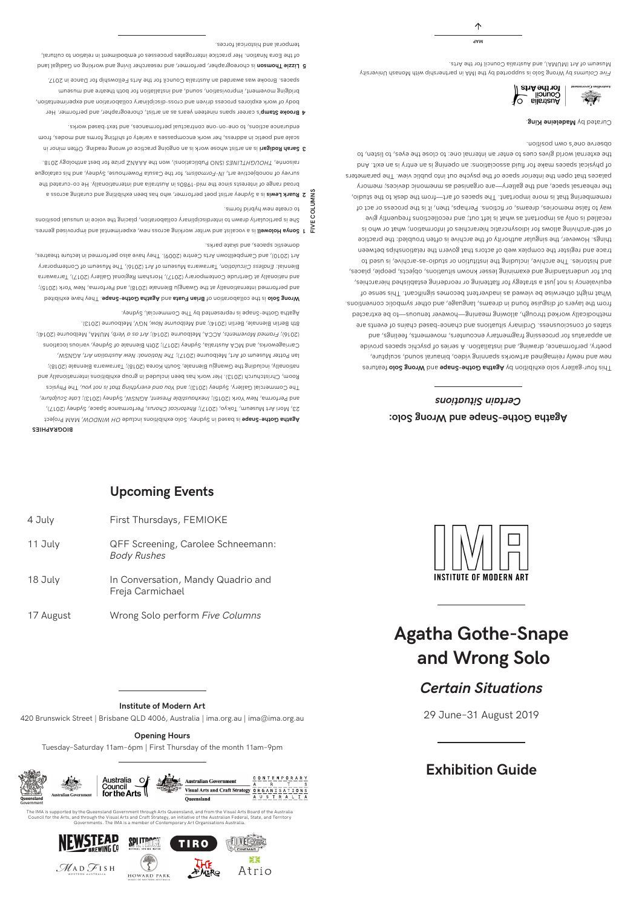## **Agatha Gothe-Snape and Wrong Solo:**  *Certain Situations*

Fhis four-gallery solo exhibition by **Agatha Gothe-Snape** and brow golo features new and newly reimagined artworks spanning video, binaural sound, sculpture, poetry, performance, drawing, and installation. A series of psychic spaces provide an apparatus for processing fragmentary encounters, movements, feelings, and states of consciousness. Ordinary situations and chance-based chains of events are methodically worked through, allowing meaning—however tenuous—to be extracted from the layers of disguise found in dreams, language, and other symbolic conventions. What might otherwise be viewed as inadvertent becomes significant. This sense of equivalency is not just a strategy for flattening or reordering established hierarchies, but for understanding and examining lesser known situations, objects, people, places, and histories. The archive, including the institution or studio-as-archive, is used to trace and register the complex web of actors that govern the relationships between things. However, the singular authority of the archive is often troubled: the practice of self-archiving allows for idiosyncratic hierarchies of information; what or who is recalled is only as important as what is left out; and recollections frequently give way to false memories, dreams, or fictions. Perhaps, then, it is the process or act of remembering that is more important. The spaces of art—from the desk to the studio, the rehearsal space, and the gallery—are organised as mnemonic devices; memory palaces that open the interior space of the psyche out into public view. The parameters of physical spaces make for fluid associations: an opening is an entry is an exit. And the external world gives cues to enter an internal one: to close the eyes, to listen, to observe one's own position.

Curated by **Madeleine King** 



18 July In Conversation, Mandy Quadrio and Freja Carmichael

Assignate Adda Project *INDOWINDO is colo exhibitions ologinations in Sagatha Broject* , Performance Space, Sydney (2017), *Rhetorical Chorus* 23, Mori Art Museum, Tokyo, (2017); , *Late Sculpture* , AGNSW, Sydney (2013); *Inexhaustible Present* and Performa, New York (2015); , The Physics *You and everything that is not you* The Commercial Gallery, Sydney (2013); and Room, Christchurch (2013). Her work has been included in group exhibitions internationally and nationally, including the Gwangju Biennale, South Korea (2018); Tarrawarra Biennale (2018); Ian Potter Museum of Art, Melbourne (S017); The National: New Australian Art, AGNSW, Carriageworks, and MCA Australia, Sydney (2017); 20th Biennale of Sydney, various locations , MUMA, Melbourne (2014); *Art as a Verb* , ACCA, Melbourne (2014); *Framed Movements* (2016); Sth Berlin Biennale, Berlin (2014); and Melbourne Now, NGV, Melbourne (2013). Agatha Gothe-Snape is represented by The Commercial, Sydney.

**Upcoming Events**

# **Agatha Gothe-Snape and Wrong Solo**



# **Exhibition Guide**

29 June–31 August 2019

4 July First Thursdays, FEMIOKE

11 July QFF Screening, Carolee Schneemann:

*Body Rushes*

Detidinxe evad yenT .eqsn2-entoD sntsgA bns stau T nsind to noits rodslloo ent ai olo2 gnotW and performed internationally at the Gwangju Biennale (2018), and Performa, New York (2015); and nationally at Gertrude Contemporary (2017), Horsham Regional Gallery (2017), Tarrawarra , Tarrawarra Museum of Art (2016), The Museum of Contemporary *Endless Circulation* Biennial: Art (2010), and Campbelltown Arts Centre (2009). They have also performed in lecture theatres, domestic spaces, and skate parks.

- FIVE COLUMNS to create new hybrid forms. She is particularly drawn to interdisciplinary collaboration, placing the voice in unusual positions **1 Sonya Holowell** is a vocalist and writer working across new, experimental and improvised genres.
- **2 Ruark Lewis** is a Sydney artist poet performer, who has been exhibiting and curating across a **Ruar** broad range of interests since the mid-1980s in Australia and internationally. He co-curated the for the Casula Powerhouse, Integrator of the Casula Powerhouse, Sydney, and his catalogue .8f0S ygolontne teed not esing SNAAA ent now , (enoitepildu<sup>q</sup> ON2) 23MLTTHOUOHT , ennosien **FIVE COLUMNS**
- an an individual provide an artist whose work is an ongoing practice of wars also and  $\mathbf{S}$  **Sarah Rodina Rodina Bould Rodina Bould Asis 2** scale and poetic in address, her work encompasses a variety of shifting forms and modes, from endurance actions, to one-on-one contractual performances, and text-based works.
- 's career spans nineteen years as an artist, choreographer, and performer. Her **Brooke Stamp 4** body of work explores process driven and cross-disciplinary collaboration and experimentation, bridging movement, improvisation, sound, and installation for both theatre and museum spaces. Brooke was awarded an Australia Council for the Arts Fellowship for Dance in 2017.
- **5** Lizzie Thomson is choreographer, performer, and researcher living and working on Gadigal land of the Eora Nnation. Her practice interrogates processes of embodiment in relation to cultural, temporal and historical forces. **MAP** denotes the mass of  $\mathbf{A}$  and  $\mathbf{A}$  and  $\mathbf{A}$  and  $\mathbf{A}$  and  $\mathbf{A}$  and  $\mathbf{A}$  and  $\mathbf{A}$  and  $\mathbf{A}$  and  $\mathbf{A}$  and  $\mathbf{A}$  and  $\mathbf{A}$  and  $\mathbf{A}$  and  $\mathbf{A}$

17 August Wrong Solo perform *Five Columns*

420 Brunswick Street | Brisbane QLD 4006, Australia | ima.org.au | ima@ima.org.au

### **Opening Hours**

Tuesday–Saturday 11am–6pm | First Thursday of the month 11am–9pm



The IMA is supported by the Queensland Government through Arts Queensland, and from the Visual Arts Board of the Australia Council for the Arts, and through the Visual Arts and Craft Strategy, an initiative of the Australian Federal, State, and Territory Governments. The IMA is a member of Contemporary Art Organisations Australia.



### **Institute of Modern Art**

Five Columns by Wrong Solo is supported by the IMA in partnership with Monash University Museum of Art (MUMA), and Australia Council for the Arts.

# *Certain Situations*

#### **BIOGRAPHIES**